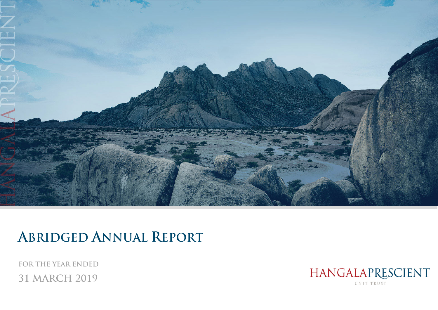

# **ABRIDGED ANNUAL REPORT**

**FOR THE YEAR ENDED 31 MARCH 2019** 

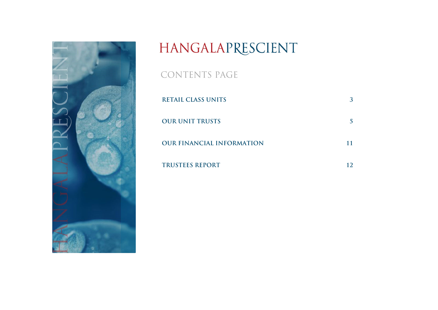

# HANGALAPRESCIENT

CONTENTS PAGE

| <b>RETAIL CLASS UNITS</b>        |  |
|----------------------------------|--|
| <b>OUR UNIT TRUSTS</b>           |  |
| <b>OUR FINANCIAL INFORMATION</b> |  |
| <b>TRUSTEES REPORT</b>           |  |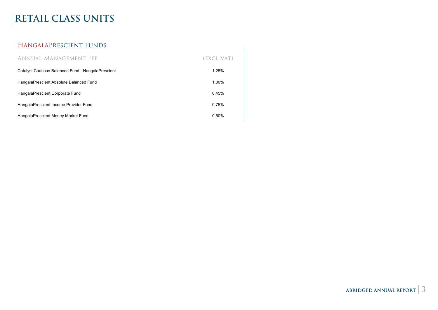# **RETAIL CLASS UNITS**

## HangalaPrescient Funds

| ANNUAL MANAGEMENT FEE                              | (EXCL VAT) |
|----------------------------------------------------|------------|
| Catalyst Cautious Balanced Fund - HangalaPrescient | 1.25%      |
| HangalaPrescient Absolute Balanced Fund            | 1.00%      |
| HangalaPrescient Corporate Fund                    | 0.45%      |
| HangalaPrescient Income Provider Fund              | 0.75%      |
| HangalaPrescient Money Market Fund                 | 0.50%      |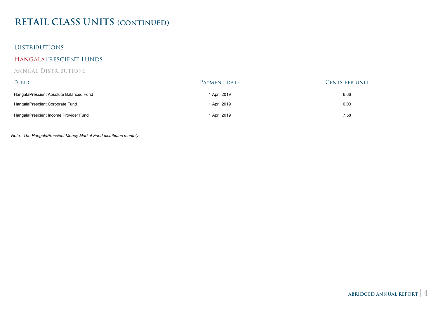# **RETAIL CLASS UNITS (continued)**

### Distributions

#### HangalaPrescient Funds

#### Annual Distributions

| FUND                                    | Payment date | <b>CENTS PER UNIT</b> |
|-----------------------------------------|--------------|-----------------------|
| HangalaPrescient Absolute Balanced Fund | 1 April 2019 | 6.66                  |
| HangalaPrescient Corporate Fund         | 1 April 2019 | 0.03                  |
| HangalaPrescient Income Provider Fund   | 1 April 2019 | 7.58                  |

*Note: The HangalaPrescient Money Market Fund distributes monthly.*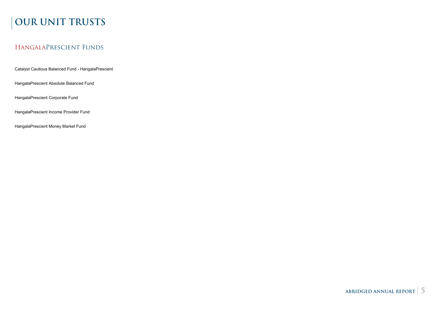# **OUR UNIT TRUSTS**

### HangalaPrescient Funds

Catalyst Cautious Balanced Fund - HangalaPrescient

HangalaPrescient Absolute Balanced Fund

HangalaPrescient Corporate Fund

HangalaPrescient Income Provider Fund

HangalaPrescient Money Market Fund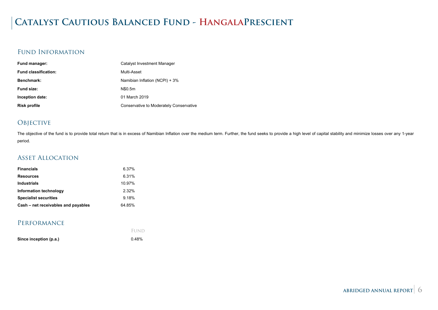# **Catalyst Cautious Balanced Fund - HangalaPrescient**

### Fund Information

| Fund manager:               | Catalyst Investment Manager             |
|-----------------------------|-----------------------------------------|
| <b>Fund classification:</b> | Multi-Asset                             |
| Benchmark:                  | Namibian Inflation (NCPI) + 3%          |
| Fund size:                  | N\$0.5m                                 |
| Inception date:             | 01 March 2019                           |
| <b>Risk profile</b>         | Conservative to Moderately Conservative |

### **OBJECTIVE**

The objective of the fund is to provide total return that is in excess of Namibian Inflation over the medium term. Further, the fund seeks to provide a high level of capital stability and minimize losses over any 1-year period.

#### Asset Allocation

| <b>Financials</b>                   | 6.37%  |
|-------------------------------------|--------|
| <b>Resources</b>                    | 6.31%  |
| <b>Industrials</b>                  | 10.97% |
| Information technology              | 2.32%  |
| <b>Specialist securities</b>        | 9.18%  |
| Cash – net receivables and payables | 64.85% |

| Since inception (p.a.) | 0.48% |
|------------------------|-------|
|                        | FUND  |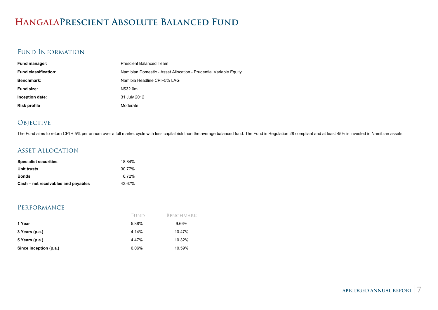# **HangalaPrescient Absolute Balanced Fund**

### Fund Information

| Fund manager:               | <b>Prescient Balanced Team</b>                                    |
|-----------------------------|-------------------------------------------------------------------|
| <b>Fund classification:</b> | Namibian Domestic - Asset Allocation - Prudential Variable Equity |
| Benchmark:                  | Namibia Headline CPI+5% LAG                                       |
| Fund size:                  | N\$32.0m                                                          |
| Inception date:             | 31 July 2012                                                      |
| <b>Risk profile</b>         | Moderate                                                          |

### **OBJECTIVE**

The Fund aims to return CPI + 5% per annum over a full market cycle with less capital risk than the average balanced fund. The Fund is Regulation 28 compliant and at least 45% is invested in Namibian assets.

### Asset Allocation

| <b>Specialist securities</b>        | 18.84% |
|-------------------------------------|--------|
| Unit trusts                         | 30.77% |
| <b>Bonds</b>                        | 6.72%  |
| Cash – net receivables and payables | 43.67% |

#### Performance

|                        | FUND  | BENCHMARK |
|------------------------|-------|-----------|
| 1 Year                 | 5.88% | 9.66%     |
| 3 Years (p.a.)         | 4.14% | 10.47%    |
| 5 Years (p.a.)         | 4.47% | 10.32%    |
| Since inception (p.a.) | 6.06% | 10.59%    |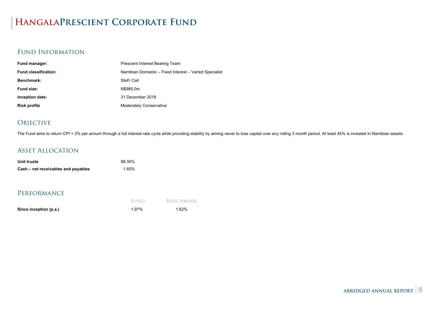# **HangalaPrescient Corporate Fund**

### Fund Information

| Fund manager:               | <b>Prescient Interest Bearing Team</b>                 |
|-----------------------------|--------------------------------------------------------|
| <b>Fund classification:</b> | Namibian Domestic - Fixed Interest - Varied Specialist |
| Benchmark:                  | SteFi Call                                             |
| Fund size:                  | N\$985.0m                                              |
| Inception date:             | 31 December 2018                                       |
| <b>Risk profile</b>         | <b>Moderately Conservative</b>                         |

### **OBJECTIVE**

The Fund aims to return CPI + 3% per annum through a full interest rate cycle while providing stability by aiming never to lose capital over any rolling 3 month period. At least 45% is invested in Namibian assets.

### Asset Allocation

| Unit trusts                         | 98.35% |
|-------------------------------------|--------|
| Cash – net receivables and payables | 1.65%  |

|                        | FUND  | BENCHMARK |
|------------------------|-------|-----------|
| Since inception (p.a.) | 1.97% | 1.62%     |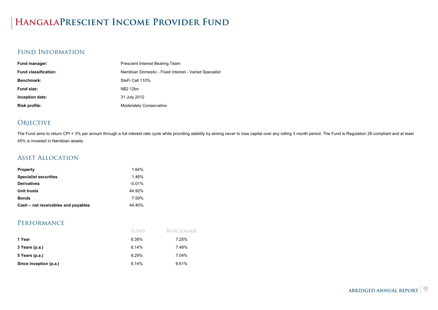# **HangalaPrescient Income Provider Fund**

### Fund Information

| Prescient Interest Bearing Team                        |
|--------------------------------------------------------|
| Namibian Domestic - Fixed Interest - Varied Specialist |
| SteFi Call 110%                                        |
| N\$2.12bn                                              |
| 31 July 2012                                           |
| <b>Moderately Conservative</b>                         |
|                                                        |

### **OBJECTIVE**

The Fund aims to return CPI + 3% per annum through a full interest rate cycle while providing stability by aiming never to lose capital over any rolling 3 month period. The Fund is Regulation 28 compliant and at least 45% is invested in Namibian assets.

#### Asset Allocation

| 164%     |
|----------|
| 1.46%    |
| $-0.01%$ |
| 44 92%   |
| 7.59%    |
| 44.40%   |
|          |

|                        | FUND  | Benchmark |
|------------------------|-------|-----------|
| 1 Year                 | 8.38% | 7.25%     |
| 3 Years (p.a.)         | 8.14% | 7.48%     |
| 5 Years (p.a.)         | 8.29% | 7.04%     |
| Since inception (p.a.) | 8.14% | 6.61%     |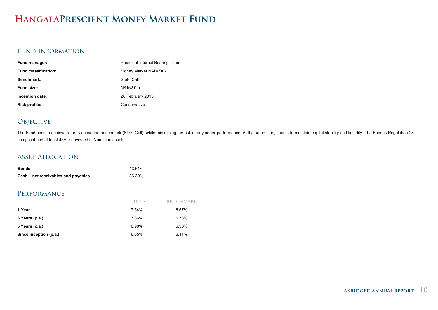# **HangalaPrescient Money Market Fund**

#### Fund Information

| <b>Fund manager:</b>        | Prescient Interest Bearing Team |  |  |
|-----------------------------|---------------------------------|--|--|
| <b>Fund classification:</b> | Money Market NAD/ZAR            |  |  |
| Benchmark:                  | SteFi Call                      |  |  |
| Fund size:                  | N\$152.0m                       |  |  |
| Inception date:             | 28 February 2013                |  |  |
| Risk profile:               | Conservative                    |  |  |

### **OBJECTIVE**

The Fund aims to achieve returns above the benchmark (SteFi Call), while minimising the risk of any under-performance. At the same time, it aims to maintain capital stability and liquidity. The Fund is Regulation 28 compliant and at least 45% is invested in Namibian assets.

#### Asset Allocation

| <b>Bonds</b>                        | 13.61% |
|-------------------------------------|--------|
| Cash – net receivables and payables | 86.39% |

|                        | FUND  | BENCHMARK |
|------------------------|-------|-----------|
| 1 Year                 | 7.54% | 6.57%     |
| 3 Years (p.a.)         | 7.36% | 6.78%     |
| 5 Years (p.a.)         | 6.90% | 6.38%     |
| Since inception (p.a.) | 6.65% | 6.11%     |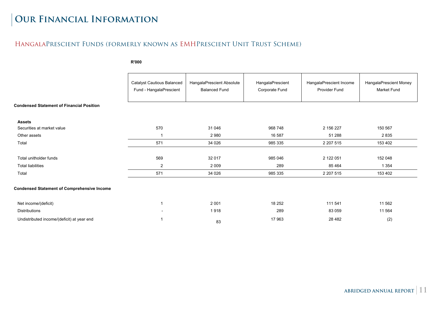# **Our Financial Information**

### HangalaPrescient Funds (formerly known as EMHPrescient Unit Trust Scheme)

**R'000** 

|                                                    | <b>Catalyst Cautious Balanced</b><br>Fund - HangalaPrescient | HangalaPrescient Absolute<br><b>Balanced Fund</b> | HangalaPrescient<br>Corporate Fund | HangalaPrescient Income<br>Provider Fund | HangalaPrescient Money<br><b>Market Fund</b> |
|----------------------------------------------------|--------------------------------------------------------------|---------------------------------------------------|------------------------------------|------------------------------------------|----------------------------------------------|
| <b>Condensed Statement of Financial Position</b>   |                                                              |                                                   |                                    |                                          |                                              |
| <b>Assets</b><br>Securities at market value        | 570                                                          | 31 046                                            | 968 748                            | 2 156 227                                | 150 567                                      |
| Other assets                                       |                                                              | 2980                                              | 16 587                             | 51 288                                   | 2 8 3 5                                      |
| Total                                              | 571                                                          | 34 0 26                                           | 985 335                            | 2 207 515                                | 153 402                                      |
| Total unitholder funds                             | 569                                                          | 32 017                                            | 985 046                            | 2 122 051                                | 152 048                                      |
| <b>Total liabilities</b>                           | 2                                                            | 2 0 0 9                                           | 289                                | 85 4 64                                  | 1 3 5 4                                      |
| Total                                              | 571                                                          | 34 0 26                                           | 985 335                            | 2 207 515                                | 153 402                                      |
| <b>Condensed Statement of Comprehensive Income</b> |                                                              |                                                   |                                    |                                          |                                              |
| Net income/(deficit)                               |                                                              | 2 0 0 1                                           | 18 252                             | 111 541                                  | 11 562                                       |
| Distributions                                      |                                                              | 1918                                              | 289                                | 83 059                                   | 11 564                                       |
| Undistributed income/(deficit) at year end         |                                                              | 83                                                | 17963                              | 28 4 82                                  | (2)                                          |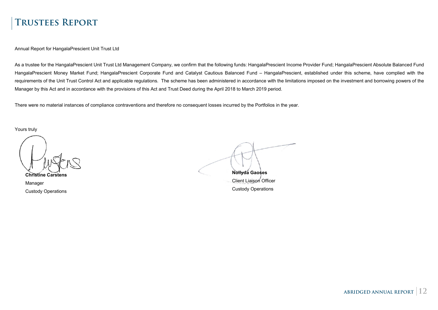## **Trustees Report**

Annual Report for HangalaPrescient Unit Trust Ltd

As a trustee for the HangalaPrescient Unit Trust Ltd Management Company, we confirm that the following funds: HangalaPrescient Income Provider Fund; HangalaPrescient Absolute Balanced Fund HangalaPrescient Money Market Fund; HangalaPrescient Corporate Fund and Catalyst Cautious Balanced Fund - HangalaPrescient, established under this scheme, have complied with the requirements of the Unit Trust Control Act and applicable regulations. The scheme has been administered in accordance with the limitations imposed on the investment and borrowing powers of the Manager by this Act and in accordance with the provisions of this Act and Trust Deed during the April 2018 to March 2019 period.

There were no material instances of compliance contraventions and therefore no consequent losses incurred by the Portfolios in the year.

Yours truly

**Christine Carstens**

Manager Custody Operations

**Nollyda Gaoses**

Client Liaison Officer Custody Operations